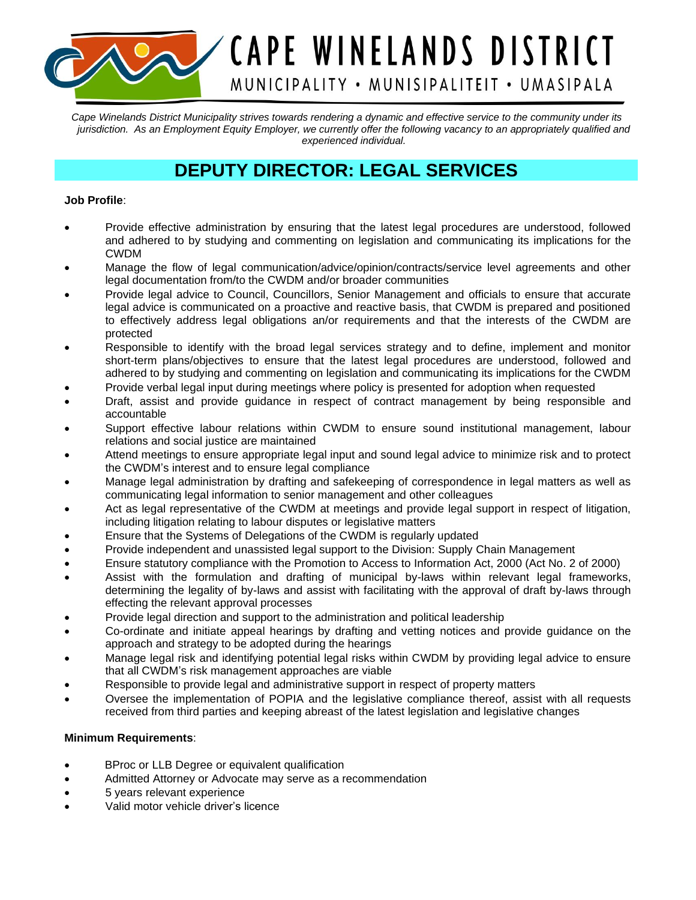*Cape Winelands District Municipality strives towards rendering a dynamic and effective service to the community under its jurisdiction. As an Employment Equity Employer, we currently offer the following vacancy to an appropriately qualified and experienced individual.*

CAPE WINELANDS DISTRICT

MUNICIPALITY • MUNISIPALITEIT • UMASIPALA

## **DEPUTY DIRECTOR: LEGAL SERVICES**

## **Job Profile**:

- Provide effective administration by ensuring that the latest legal procedures are understood, followed and adhered to by studying and commenting on legislation and communicating its implications for the CWDM
- Manage the flow of legal communication/advice/opinion/contracts/service level agreements and other legal documentation from/to the CWDM and/or broader communities
- Provide legal advice to Council, Councillors, Senior Management and officials to ensure that accurate legal advice is communicated on a proactive and reactive basis, that CWDM is prepared and positioned to effectively address legal obligations an/or requirements and that the interests of the CWDM are protected
- Responsible to identify with the broad legal services strategy and to define, implement and monitor short-term plans/objectives to ensure that the latest legal procedures are understood, followed and adhered to by studying and commenting on legislation and communicating its implications for the CWDM
- Provide verbal legal input during meetings where policy is presented for adoption when requested
- Draft, assist and provide guidance in respect of contract management by being responsible and accountable
- Support effective labour relations within CWDM to ensure sound institutional management, labour relations and social justice are maintained
- Attend meetings to ensure appropriate legal input and sound legal advice to minimize risk and to protect the CWDM's interest and to ensure legal compliance
- Manage legal administration by drafting and safekeeping of correspondence in legal matters as well as communicating legal information to senior management and other colleagues
- Act as legal representative of the CWDM at meetings and provide legal support in respect of litigation, including litigation relating to labour disputes or legislative matters
- Ensure that the Systems of Delegations of the CWDM is regularly updated
- Provide independent and unassisted legal support to the Division: Supply Chain Management
- Ensure statutory compliance with the Promotion to Access to Information Act, 2000 (Act No. 2 of 2000)
- Assist with the formulation and drafting of municipal by-laws within relevant legal frameworks, determining the legality of by-laws and assist with facilitating with the approval of draft by-laws through effecting the relevant approval processes
- Provide legal direction and support to the administration and political leadership
- Co-ordinate and initiate appeal hearings by drafting and vetting notices and provide guidance on the approach and strategy to be adopted during the hearings
- Manage legal risk and identifying potential legal risks within CWDM by providing legal advice to ensure that all CWDM's risk management approaches are viable
- Responsible to provide legal and administrative support in respect of property matters
- Oversee the implementation of POPIA and the legislative compliance thereof, assist with all requests received from third parties and keeping abreast of the latest legislation and legislative changes

## **Minimum Requirements**:

- BProc or LLB Degree or equivalent qualification
- Admitted Attorney or Advocate may serve as a recommendation
- 5 years relevant experience
- Valid motor vehicle driver's licence